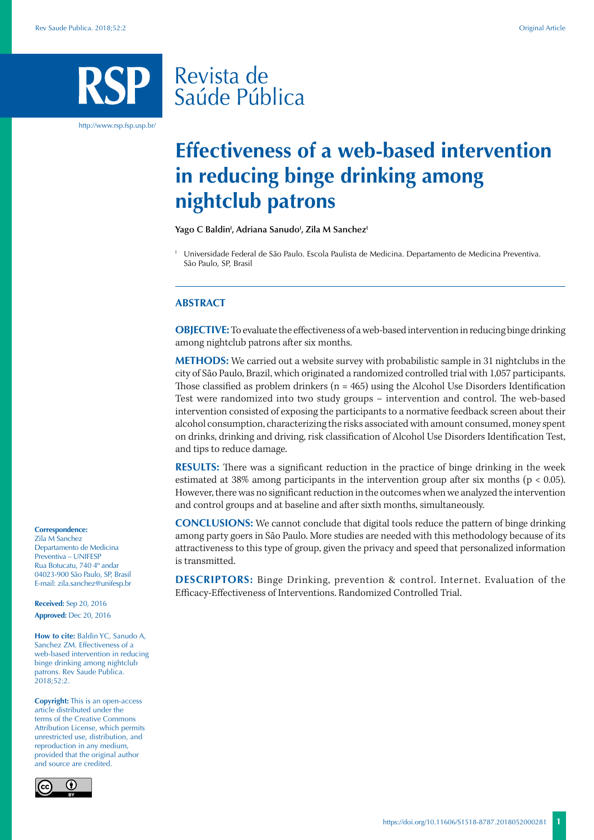# Revista de Saúde Pública

http://www.rsp.fsp.usp.br/

# **Effectiveness of a web-based intervention in reducing binge drinking among nightclub patrons**

Yago C Baldin<sup>i</sup>, Adriana Sanudo<sup>i</sup>, Zila M Sanchez<sup>i</sup>

<sup>1</sup> Universidade Federal de São Paulo. Escola Paulista de Medicina. Departamento de Medicina Preventiva. São Paulo, SP, Brasil

## **ABSTRACT**

**OBJECTIVE:** To evaluate the effectiveness of a web-based intervention in reducing binge drinking among nightclub patrons after six months.

**METHODS:** We carried out a website survey with probabilistic sample in 31 nightclubs in the city of São Paulo, Brazil, which originated a randomized controlled trial with 1,057 participants. Those classified as problem drinkers ( $n = 465$ ) using the Alcohol Use Disorders Identification Test were randomized into two study groups – intervention and control. The web-based intervention consisted of exposing the participants to a normative feedback screen about their alcohol consumption, characterizing the risks associated with amount consumed, money spent on drinks, drinking and driving, risk classification of Alcohol Use Disorders Identification Test, and tips to reduce damage.

**RESULTS:** There was a significant reduction in the practice of binge drinking in the week estimated at 38% among participants in the intervention group after six months (p < 0.05). However, there was no significant reduction in the outcomes when we analyzed the intervention and control groups and at baseline and after sixth months, simultaneously.

**CONCLUSIONS:** We cannot conclude that digital tools reduce the pattern of binge drinking among party goers in São Paulo. More studies are needed with this methodology because of its attractiveness to this type of group, given the privacy and speed that personalized information is transmitted.

**DESCRIPTORS:** Binge Drinking, prevention & control. Internet. Evaluation of the Efficacy-Effectiveness of Interventions. Randomized Controlled Trial.

#### **Correspondence:**

Zila M Sanchez Departamento de Medicina Preventiva – UNIFESP Rua Botucatu, 740 4º andar 04023-900 São Paulo, SP, Brasil E-mail: zila.sanchez@unifesp.br

**Received:** Sep 20, 2016 **Approved:** Dec 20, 2016

**How to cite:** Baldin YC, Sanudo A, Sanchez ZM. Effectiveness of a web-based intervention in reducing binge drinking among nightclub patrons. Rev Saude Publica. 2018;52:2.

**Copyright:** This is an open-access article distributed under the terms of the Creative Commons Attribution License, which permits unrestricted use, distribution, and reproduction in any medium, provided that the original author and source are credited.

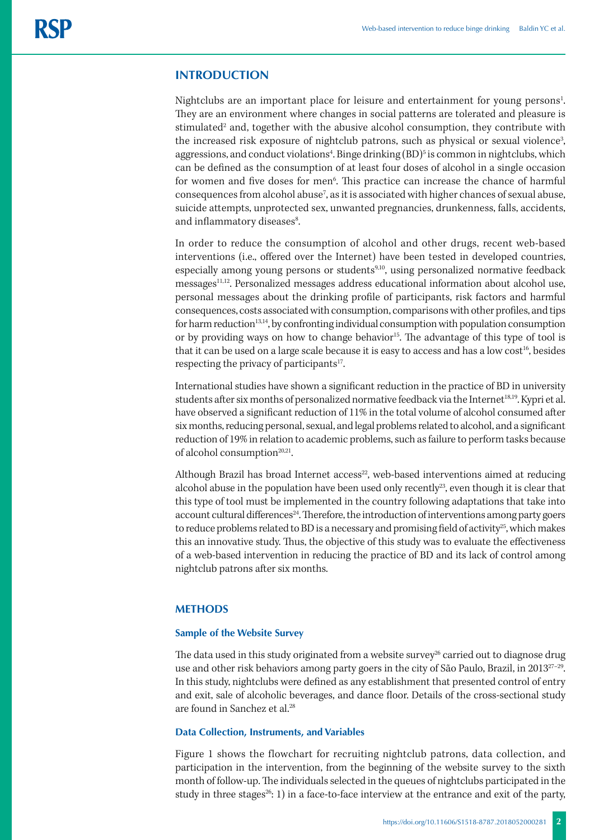# **INTRODUCTION**

Nightclubs are an important place for leisure and entertainment for young persons<sup>1</sup>. They are an environment where changes in social patterns are tolerated and pleasure is stimulated<sup>2</sup> and, together with the abusive alcohol consumption, they contribute with the increased risk exposure of nightclub patrons, such as physical or sexual violence<sup>3</sup>, aggressions, and conduct violations<sup>4</sup>. Binge drinking (BD)<sup>5</sup> is common in nightclubs, which can be defined as the consumption of at least four doses of alcohol in a single occasion for women and five doses for men<sup>6</sup>. This practice can increase the chance of harmful consequences from alcohol abuse<sup>7</sup>, as it is associated with higher chances of sexual abuse, suicide attempts, unprotected sex, unwanted pregnancies, drunkenness, falls, accidents, and inflammatory diseases<sup>8</sup>.

In order to reduce the consumption of alcohol and other drugs, recent web-based interventions (i.e., offered over the Internet) have been tested in developed countries, especially among young persons or students<sup>9,10</sup>, using personalized normative feedback messages<sup>11,12</sup>. Personalized messages address educational information about alcohol use, personal messages about the drinking profile of participants, risk factors and harmful consequences, costs associated with consumption, comparisons with other profiles, and tips for harm reduction<sup>13,14</sup>, by confronting individual consumption with population consumption or by providing ways on how to change behavior<sup>15</sup>. The advantage of this type of tool is that it can be used on a large scale because it is easy to access and has a low cost<sup>16</sup>, besides respecting the privacy of participants<sup>17</sup>.

International studies have shown a significant reduction in the practice of BD in university students after six months of personalized normative feedback via the Internet<sup>18,19</sup>. Kypri et al. have observed a significant reduction of 11% in the total volume of alcohol consumed after six months, reducing personal, sexual, and legal problems related to alcohol, and a significant reduction of 19% in relation to academic problems, such as failure to perform tasks because of alcohol consumption $20,21$ .

Although Brazil has broad Internet  $access^{22}$ , web-based interventions aimed at reducing alcohol abuse in the population have been used only recently<sup>23</sup>, even though it is clear that this type of tool must be implemented in the country following adaptations that take into account cultural differences<sup>24</sup>. Therefore, the introduction of interventions among party goers to reduce problems related to BD is a necessary and promising field of activity<sup>25</sup>, which makes this an innovative study. Thus, the objective of this study was to evaluate the effectiveness of a web-based intervention in reducing the practice of BD and its lack of control among nightclub patrons after six months.

# **METHODS**

#### **Sample of the Website Survey**

The data used in this study originated from a website survey<sup>26</sup> carried out to diagnose drug use and other risk behaviors among party goers in the city of São Paulo, Brazil, in 2013<sup>27-29</sup>. In this study, nightclubs were defined as any establishment that presented control of entry and exit, sale of alcoholic beverages, and dance floor. Details of the cross-sectional study are found in Sanchez et al.28

## **Data Collection, Instruments, and Variables**

Figure 1 shows the flowchart for recruiting nightclub patrons, data collection, and participation in the intervention, from the beginning of the website survey to the sixth month of follow-up. The individuals selected in the queues of nightclubs participated in the study in three stages<sup>26</sup>: 1) in a face-to-face interview at the entrance and exit of the party,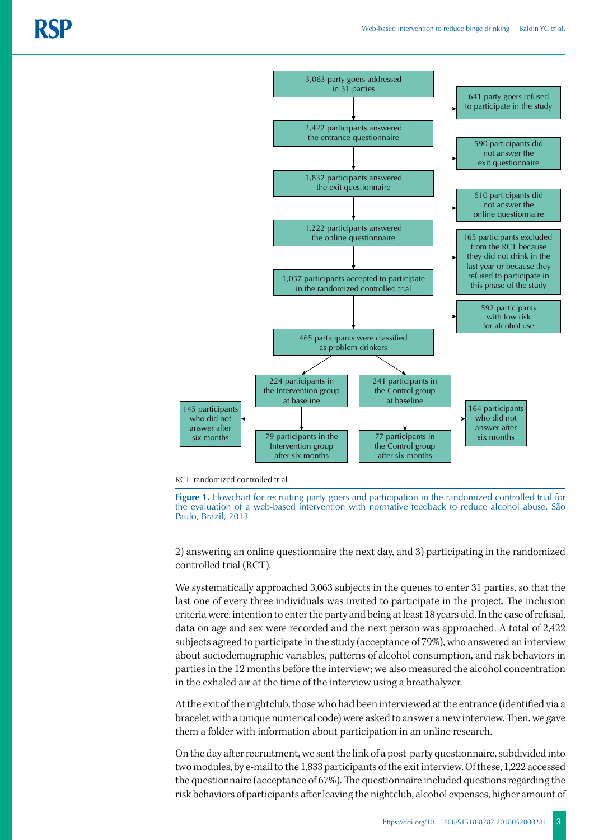

RCT: randomized controlled trial

**Figure 1.** Flowchart for recruiting party goers and participation in the randomized controlled trial for the evaluation of a web-based intervention with normative feedback to reduce alcohol abuse. São Paulo, Brazil, 2013.

2) answering an online questionnaire the next day, and 3) participating in the randomized controlled trial (RCT).

We systematically approached 3,063 subjects in the queues to enter 31 parties, so that the last one of every three individuals was invited to participate in the project. The inclusion criteria were: intention to enter the party and being at least 18 years old. In the case of refusal, data on age and sex were recorded and the next person was approached. A total of 2,422 subjects agreed to participate in the study (acceptance of 79%), who answered an interview about sociodemographic variables, patterns of alcohol consumption, and risk behaviors in parties in the 12 months before the interview; we also measured the alcohol concentration in the exhaled air at the time of the interview using a breathalyzer.

At the exit of the nightclub, those who had been interviewed at the entrance (identified via a bracelet with a unique numerical code) were asked to answer a new interview. Then, we gave them a folder with information about participation in an online research.

On the day after recruitment, we sent the link of a post-party questionnaire, subdivided into two modules, by e-mail to the 1,833 participants of the exit interview. Of these, 1,222 accessed the questionnaire (acceptance of 67%). The questionnaire included questions regarding the risk behaviors of participants after leaving the nightclub, alcohol expenses, higher amount of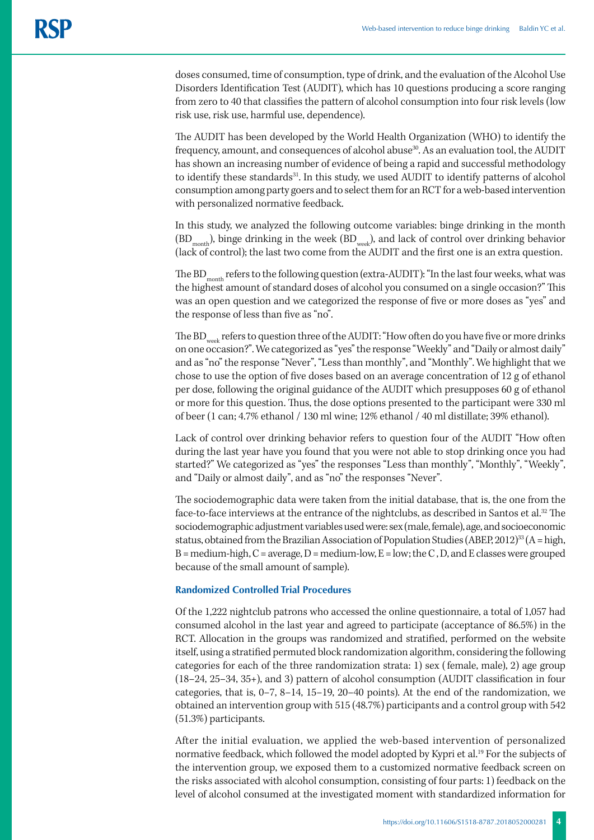doses consumed, time of consumption, type of drink, and the evaluation of the Alcohol Use Disorders Identification Test (AUDIT), which has 10 questions producing a score ranging from zero to 40 that classifies the pattern of alcohol consumption into four risk levels (low risk use, risk use, harmful use, dependence).

The AUDIT has been developed by the World Health Organization (WHO) to identify the frequency, amount, and consequences of alcohol abuse<sup>30</sup>. As an evaluation tool, the AUDIT has shown an increasing number of evidence of being a rapid and successful methodology to identify these standards<sup>31</sup>. In this study, we used AUDIT to identify patterns of alcohol consumption among party goers and to select them for an RCT for a web-based intervention with personalized normative feedback.

In this study, we analyzed the following outcome variables: binge drinking in the month  $(BD<sub>month</sub>)$ , binge drinking in the week  $(BD<sub>week</sub>)$ , and lack of control over drinking behavior (lack of control); the last two come from the AUDIT and the first one is an extra question.

The  $BD_{\text{month}}$  refers to the following question (extra-AUDIT): "In the last four weeks, what was the highest amount of standard doses of alcohol you consumed on a single occasion?" This was an open question and we categorized the response of five or more doses as "yes" and the response of less than five as "no".

The BD<sub>week</sub> refers to question three of the AUDIT: "How often do you have five or more drinks on one occasion?". We categorized as "yes" the response "Weekly" and "Daily or almost daily" and as "no" the response "Never", "Less than monthly", and "Monthly". We highlight that we chose to use the option of five doses based on an average concentration of 12 g of ethanol per dose, following the original guidance of the AUDIT which presupposes 60 g of ethanol or more for this question. Thus, the dose options presented to the participant were 330 ml of beer (1 can; 4.7% ethanol / 130 ml wine; 12% ethanol / 40 ml distillate; 39% ethanol).

Lack of control over drinking behavior refers to question four of the AUDIT "How often during the last year have you found that you were not able to stop drinking once you had started?" We categorized as "yes" the responses "Less than monthly", "Monthly", "Weekly", and "Daily or almost daily", and as "no" the responses "Never".

The sociodemographic data were taken from the initial database, that is, the one from the face-to-face interviews at the entrance of the nightclubs, as described in Santos et al.<sup>32</sup> The sociodemographic adjustment variables used were: sex (male, female), age, and socioeconomic status, obtained from the Brazilian Association of Population Studies (ABEP, 2012)<sup>33</sup> (A = high,  $B = \text{medium-high}, C = \text{average}, D = \text{medium-low}, E = \text{low; the } C, D, \text{and } E \text{ classes were grouped}$ because of the small amount of sample).

## **Randomized Controlled Trial Procedures**

Of the 1,222 nightclub patrons who accessed the online questionnaire, a total of 1,057 had consumed alcohol in the last year and agreed to participate (acceptance of 86.5%) in the RCT. Allocation in the groups was randomized and stratified, performed on the website itself, using a stratified permuted block randomization algorithm, considering the following categories for each of the three randomization strata: 1) sex ( female, male), 2) age group (18–24, 25–34, 35+), and 3) pattern of alcohol consumption (AUDIT classification in four categories, that is, 0–7, 8–14, 15–19, 20–40 points). At the end of the randomization, we obtained an intervention group with 515 (48.7%) participants and a control group with 542 (51.3%) participants.

After the initial evaluation, we applied the web-based intervention of personalized normative feedback, which followed the model adopted by Kypri et al.19 For the subjects of the intervention group, we exposed them to a customized normative feedback screen on the risks associated with alcohol consumption, consisting of four parts: 1) feedback on the level of alcohol consumed at the investigated moment with standardized information for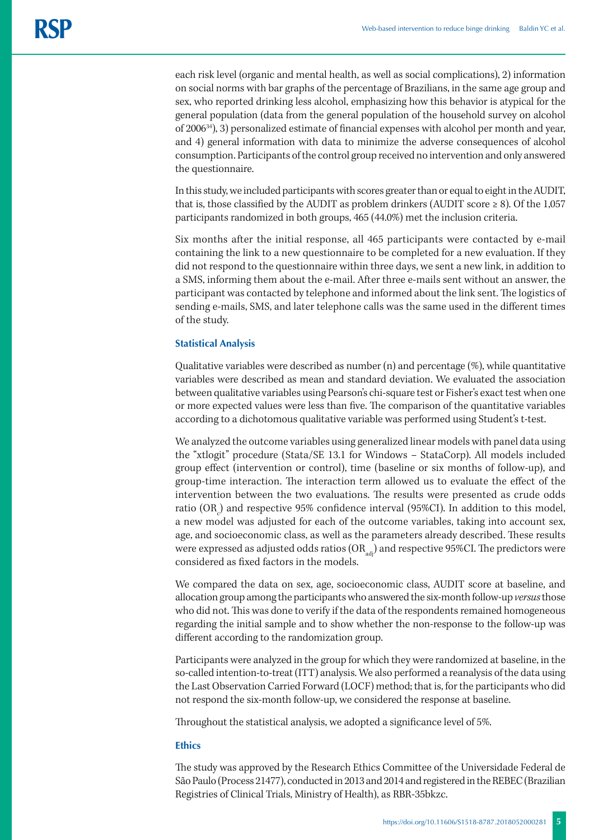each risk level (organic and mental health, as well as social complications), 2) information on social norms with bar graphs of the percentage of Brazilians, in the same age group and sex, who reported drinking less alcohol, emphasizing how this behavior is atypical for the general population (data from the general population of the household survey on alcohol of 200634), 3) personalized estimate of financial expenses with alcohol per month and year, and 4) general information with data to minimize the adverse consequences of alcohol consumption. Participants of the control group received no intervention and only answered the questionnaire.

In this study, we included participants with scores greater than or equal to eight in the AUDIT, that is, those classified by the AUDIT as problem drinkers (AUDIT score  $\geq 8$ ). Of the 1,057 participants randomized in both groups, 465 (44.0%) met the inclusion criteria.

Six months after the initial response, all 465 participants were contacted by e-mail containing the link to a new questionnaire to be completed for a new evaluation. If they did not respond to the questionnaire within three days, we sent a new link, in addition to a SMS, informing them about the e-mail. After three e-mails sent without an answer, the participant was contacted by telephone and informed about the link sent. The logistics of sending e-mails, SMS, and later telephone calls was the same used in the different times of the study.

## **Statistical Analysis**

Qualitative variables were described as number  $(n)$  and percentage  $(\%)$ , while quantitative variables were described as mean and standard deviation. We evaluated the association between qualitative variables using Pearson's chi-square test or Fisher's exact test when one or more expected values were less than five. The comparison of the quantitative variables according to a dichotomous qualitative variable was performed using Student's t-test.

We analyzed the outcome variables using generalized linear models with panel data using the "xtlogit" procedure (Stata/SE 13.1 for Windows – StataCorp). All models included group effect (intervention or control), time (baseline or six months of follow-up), and group-time interaction. The interaction term allowed us to evaluate the effect of the intervention between the two evaluations. The results were presented as crude odds ratio (OR<sub>c</sub>) and respective 95% confidence interval (95%CI). In addition to this model, a new model was adjusted for each of the outcome variables, taking into account sex, age, and socioeconomic class, as well as the parameters already described. These results were expressed as adjusted odds ratios  $\left(OR_{\text{adv}}\right)$  and respective 95%CI. The predictors were considered as fixed factors in the models.

We compared the data on sex, age, socioeconomic class, AUDIT score at baseline, and allocation group among the participants who answered the six-month follow-up *versus* those who did not. This was done to verify if the data of the respondents remained homogeneous regarding the initial sample and to show whether the non-response to the follow-up was different according to the randomization group.

Participants were analyzed in the group for which they were randomized at baseline, in the so-called intention-to-treat (ITT) analysis. We also performed a reanalysis of the data using the Last Observation Carried Forward (LOCF) method; that is, for the participants who did not respond the six-month follow-up, we considered the response at baseline.

Throughout the statistical analysis, we adopted a significance level of 5%.

## **Ethics**

The study was approved by the Research Ethics Committee of the Universidade Federal de São Paulo (Process 21477), conducted in 2013 and 2014 and registered in the REBEC (Brazilian Registries of Clinical Trials, Ministry of Health), as RBR-35bkzc.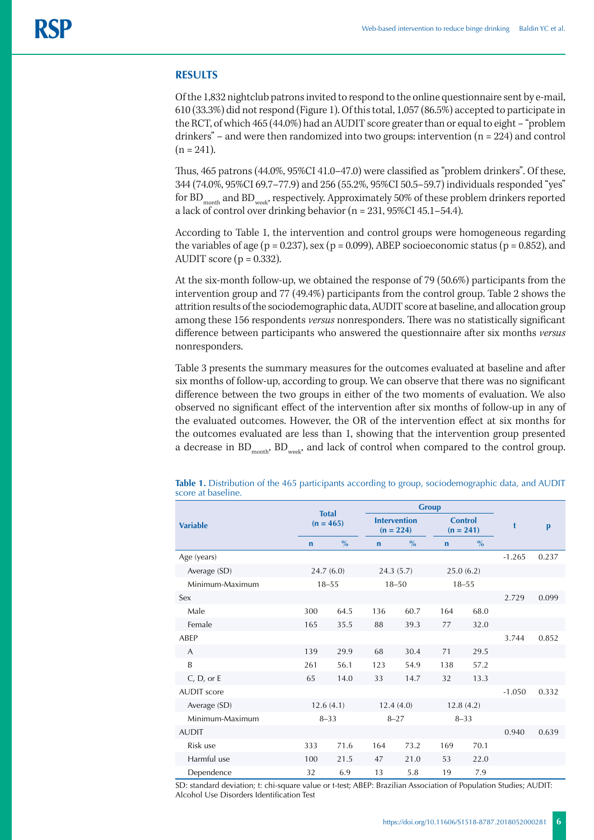## **RESULTS**

Of the 1,832 nightclub patrons invited to respond to the online questionnaire sent by e-mail, 610 (33.3%) did not respond (Figure 1). Of this total, 1,057 (86.5%) accepted to participate in the RCT, of which 465 (44.0%) had an AUDIT score greater than or equal to eight – "problem drinkers" – and were then randomized into two groups: intervention  $(n = 224)$  and control  $(n = 241)$ .

Thus, 465 patrons (44.0%, 95%CI 41.0–47.0) were classified as "problem drinkers". Of these, 344 (74.0%, 95%CI 69.7–77.9) and 256 (55.2%, 95%CI 50.5–59.7) individuals responded "yes" for  $BD_{\text{month}}$  and  $BD_{\text{week}}$ , respectively. Approximately 50% of these problem drinkers reported a lack of control over drinking behavior (n = 231, 95%CI 45.1–54.4).

According to Table 1, the intervention and control groups were homogeneous regarding the variables of age ( $p = 0.237$ ), sex ( $p = 0.099$ ), ABEP socioeconomic status ( $p = 0.852$ ), and AUDIT score ( $p = 0.332$ ).

At the six-month follow-up, we obtained the response of 79 (50.6%) participants from the intervention group and 77 (49.4%) participants from the control group. Table 2 shows the attrition results of the sociodemographic data, AUDIT score at baseline, and allocation group among these 156 respondents *versus* nonresponders. There was no statistically significant difference between participants who answered the questionnaire after six months *versus* nonresponders.

Table 3 presents the summary measures for the outcomes evaluated at baseline and after six months of follow-up, according to group. We can observe that there was no significant difference between the two groups in either of the two moments of evaluation. We also observed no significant effect of the intervention after six months of follow-up in any of the evaluated outcomes. However, the OR of the intervention effect at six months for the outcomes evaluated are less than 1, showing that the intervention group presented a decrease in  $BD_{month}$ ,  $BD_{week}$ , and lack of control when compared to the control group.

|                    | <b>Total</b><br>$(n = 465)$<br>$\frac{0}{0}$<br>$\mathbf n$ |           |             | <b>Group</b>                       |                              |             |          |       |
|--------------------|-------------------------------------------------------------|-----------|-------------|------------------------------------|------------------------------|-------------|----------|-------|
| <b>Variable</b>    |                                                             |           |             | <b>Intervention</b><br>$(n = 224)$ | <b>Control</b>               | $(n = 241)$ | t        | p     |
|                    |                                                             |           | $\mathbf n$ | $\frac{0}{0}$                      | $\frac{0}{0}$<br>$\mathbf n$ |             |          |       |
| Age (years)        |                                                             |           |             |                                    |                              |             | $-1.265$ | 0.237 |
| Average (SD)       |                                                             | 24.7(6.0) | 24.3(5.7)   |                                    | 25.0(6.2)                    |             |          |       |
| Minimum-Maximum    |                                                             | $18 - 55$ |             | $18 - 50$                          |                              | $18 - 55$   |          |       |
| Sex                |                                                             |           |             |                                    |                              |             | 2.729    | 0.099 |
| Male               | 300                                                         | 64.5      | 136         | 60.7                               | 164                          | 68.0        |          |       |
| Female             | 165                                                         | 35.5      | 88          | 39.3                               | 77                           | 32.0        |          |       |
| ABEP               |                                                             |           |             |                                    |                              |             | 3.744    | 0.852 |
| A                  | 139                                                         | 29.9      | 68          | 30.4                               | 71                           | 29.5        |          |       |
| B                  | 261                                                         | 56.1      | 123         | 54.9                               | 138                          | 57.2        |          |       |
| $C, D,$ or E       | 65                                                          | 14.0      | 33          | 14.7                               | 32                           | 13.3        |          |       |
| <b>AUDIT</b> score |                                                             |           |             |                                    |                              |             | $-1.050$ | 0.332 |
| Average (SD)       | 12.6(4.1)                                                   |           | 12.4(4.0)   |                                    | 12.8(4.2)                    |             |          |       |
| Minimum-Maximum    | $8 - 33$                                                    |           | $8 - 27$    |                                    | $8 - 33$                     |             |          |       |
| <b>AUDIT</b>       |                                                             |           |             |                                    |                              |             | 0.940    | 0.639 |
| Risk use           | 333                                                         | 71.6      | 164         | 73.2                               | 169                          | 70.1        |          |       |
| Harmful use        | 100                                                         | 21.5      | 47          | 21.0                               | 53                           | 22.0        |          |       |
| Dependence         | 32                                                          | 6.9       | 13          | 5.8                                | 19                           | 7.9         |          |       |

**Table 1.** Distribution of the 465 participants according to group, sociodemographic data, and AUDIT score at baseline.

SD: standard deviation; t: chi-square value or t-test; ABEP: Brazilian Association of Population Studies; AUDIT: Alcohol Use Disorders Identification Test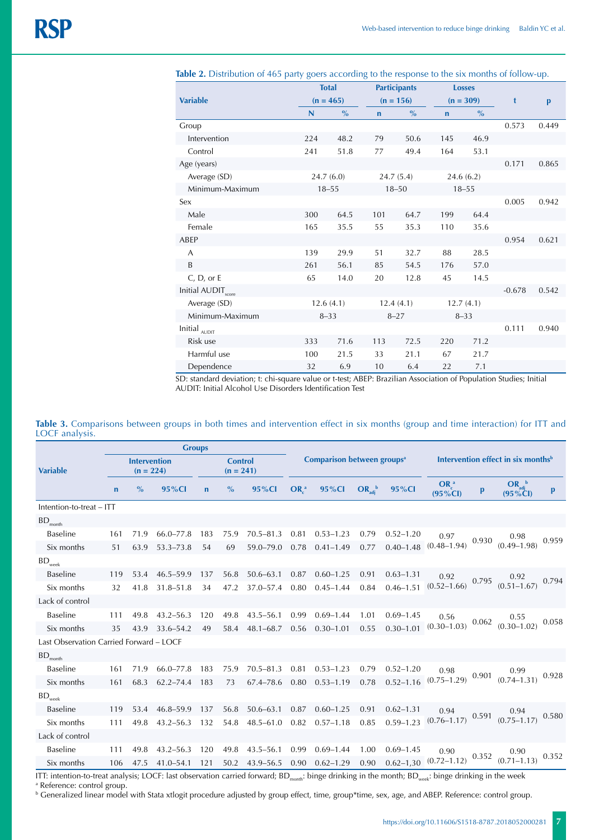|                                  |              | <b>Total</b>  |             | <b>Participants</b> |             | <b>Losses</b> |          |              |
|----------------------------------|--------------|---------------|-------------|---------------------|-------------|---------------|----------|--------------|
| <b>Variable</b>                  |              | $(n = 465)$   |             | $(n = 156)$         |             | $(n = 309)$   | t        | $\mathbf{p}$ |
|                                  | $\mathsf{N}$ | $\frac{9}{6}$ | $\mathbf n$ | $\%$                | $\mathbf n$ | $\frac{0}{0}$ |          |              |
| Group                            |              |               |             |                     |             |               | 0.573    | 0.449        |
| Intervention                     | 224          | 48.2          | 79          | 50.6                | 145         | 46.9          |          |              |
| Control                          | 241          | 51.8          | 77          | 49.4                | 164         | 53.1          |          |              |
| Age (years)                      |              |               |             |                     |             |               | 0.171    | 0.865        |
| Average (SD)                     |              | 24.7(6.0)     |             | 24.7(5.4)           | 24.6(6.2)   |               |          |              |
| Minimum-Maximum                  |              | $18 - 55$     |             | $18 - 50$           | $18 - 55$   |               |          |              |
| Sex                              |              |               |             |                     |             |               | 0.005    | 0.942        |
| Male                             | 300          | 64.5          | 101         | 64.7                | 199         | 64.4          |          |              |
| Female                           | 165          | 35.5          | 55          | 35.3                | 110         | 35.6          |          |              |
| ABEP                             |              |               |             |                     |             |               | 0.954    | 0.621        |
| A                                | 139          | 29.9          | 51          | 32.7                | 88          | 28.5          |          |              |
| B                                | 261          | 56.1          | 85          | 54.5                | 176         | 57.0          |          |              |
| $C, D,$ or E                     | 65           | 14.0          | 20          | 12.8                | 45          | 14.5          |          |              |
| Initial AUDIT <sub>score</sub>   |              |               |             |                     |             |               | $-0.678$ | 0.542        |
| Average (SD)                     | 12.6(4.1)    |               | 12.4(4.1)   |                     | 12.7(4.1)   |               |          |              |
| Minimum-Maximum                  | $8 - 33$     |               | $8 - 27$    |                     | $8 - 33$    |               |          |              |
| Initial $_{\text{\tiny{AUDIT}}}$ |              |               |             |                     |             |               | 0.111    | 0.940        |
| Risk use                         | 333          | 71.6          | 113         | 72.5                | 220         | 71.2          |          |              |
| Harmful use                      | 100          | 21.5          | 33          | 21.1                | 67          | 21.7          |          |              |
| Dependence                       | 32           | 6.9           | 10          | 6.4                 | 22          | 7.1           |          |              |

Table 2. Distribution of 465 party goers according to the response to the six months of follow-up.

SD: standard deviation; t: chi-square value or t-test; ABEP: Brazilian Association of Population Studies; Initial AUDIT: Initial Alcohol Use Disorders Identification Test

#### **Table 3.** Comparisons between groups in both times and intervention effect in six months (group and time interaction) for ITT and LOCF analysis.

|                                         |                                    | <b>Groups</b> |               |                               |               |               |                                        |               |              |               |                                                |       |                                  |       |
|-----------------------------------------|------------------------------------|---------------|---------------|-------------------------------|---------------|---------------|----------------------------------------|---------------|--------------|---------------|------------------------------------------------|-------|----------------------------------|-------|
| <b>Variable</b>                         | <b>Intervention</b><br>$(n = 224)$ |               |               | <b>Control</b><br>$(n = 241)$ |               |               | Comparison between groups <sup>a</sup> |               |              |               | Intervention effect in six months <sup>b</sup> |       |                                  |       |
|                                         | $\mathbf n$                        | $\%$          | 95%Cl         | $\mathbf n$                   | $\frac{0}{0}$ | 95%CI         | $OR_c^a$                               | 95%CI         | $OR_{adj}^b$ | 95%CI         | $OR_c^a$<br>$(95\% CI)$                        | p     | $OR_{adj}^b$<br>$(95\%$ CI)      | p     |
| Intention-to-treat - ITT                |                                    |               |               |                               |               |               |                                        |               |              |               |                                                |       |                                  |       |
| $\mathsf{BD}_\mathsf{month}$            |                                    |               |               |                               |               |               |                                        |               |              |               |                                                |       |                                  |       |
| Baseline                                | 161                                | 71.9          | $66.0 - 77.8$ | 183                           | 75.9          | $70.5 - 81.3$ | 0.81                                   | $0.53 - 1.23$ | 0.79         | $0.52 - 1.20$ | 0.97<br>0.930<br>$(0.48 - 1.94)$               |       | 0.98<br>$(0.49 - 1.98)$          | 0.959 |
| Six months                              | 51                                 | 63.9          | $53.3 - 73.8$ | 54                            | 69            | 59.0-79.0     | 0.78                                   | $0.41 - 1.49$ | 0.77         | $0.40 - 1.48$ |                                                |       |                                  |       |
| $\mathsf{BD}_\mathsf{week}$             |                                    |               |               |                               |               |               |                                        |               |              |               |                                                |       |                                  |       |
| <b>Baseline</b>                         | 119                                | 53.4          | $46.5 - 59.9$ | 137                           | 56.8          | $50.6 - 63.1$ | 0.87                                   | $0.60 - 1.25$ | 0.91         | $0.63 - 1.31$ | 0.92<br>0.795<br>$(0.52 - 1.66)$               |       | 0.92<br>$(0.51 - 1.67)$          | 0.794 |
| Six months                              | 32                                 | 41.8          | $31.8 - 51.8$ | 34                            | 47.2          | 37.0-57.4     | 0.80                                   | $0.45 - 1.44$ | 0.84         | $0.46 - 1.51$ |                                                |       |                                  |       |
| Lack of control                         |                                    |               |               |                               |               |               |                                        |               |              |               |                                                |       |                                  |       |
| Baseline                                | 111                                | 49.8          | $43.2 - 56.3$ | 120                           | 49.8          | $43.5 - 56.1$ | 0.99                                   | $0.69 - 1.44$ | 1.01         | $0.69 - 1.45$ | 0.56                                           |       | 0.55                             | 0.058 |
| Six months                              | 35                                 | 43.9          | 33.6–54.2     | 49                            | 58.4          | $48.1 - 68.7$ | 0.56                                   | $0.30 - 1.01$ | 0.55         | $0.30 - 1.01$ | $(0.30 - 1.03)$                                | 0.062 | $(0.30 - 1.02)$                  |       |
| Last Observation Carried Forward - LOCF |                                    |               |               |                               |               |               |                                        |               |              |               |                                                |       |                                  |       |
| $BD$ <sub>month</sub>                   |                                    |               |               |                               |               |               |                                        |               |              |               |                                                |       |                                  |       |
| <b>Baseline</b>                         | 161                                | 71.9          | $66.0 - 77.8$ | 183                           | 75.9          | $70.5 - 81.3$ | 0.81                                   | $0.53 - 1.23$ | 0.79         | $0.52 - 1.20$ | 0.98<br>0.901<br>$(0.75 - 1.29)$               |       | 0.99<br>$(0.74 - 1.31)$          | 0.928 |
| Six months                              | 161                                | 68.3          | $62.2 - 74.4$ | 183                           | 73            | 67.4-78.6     | 0.80                                   | $0.53 - 1.19$ | 0.78         | $0.52 - 1.16$ |                                                |       |                                  |       |
| $\mathsf{BD}_\mathsf{week}$             |                                    |               |               |                               |               |               |                                        |               |              |               |                                                |       |                                  |       |
| <b>Baseline</b>                         | 119                                | 53.4          | $46.8 - 59.9$ | 137                           | 56.8          | $50.6 - 63.1$ | 0.87                                   | $0.60 - 1.25$ | 0.91         | $0.62 - 1.31$ | 0.94<br>0.591<br>$(0.76 - 1.17)$               |       | 0.94<br>0.580<br>$(0.75 - 1.17)$ |       |
| Six months                              | 111                                | 49.8          | $43.2 - 56.3$ | 132                           | 54.8          | $48.5 - 61.0$ | 0.82                                   | $0.57 - 1.18$ | 0.85         | $0.59 - 1.23$ |                                                |       |                                  |       |
| Lack of control                         |                                    |               |               |                               |               |               |                                        |               |              |               |                                                |       |                                  |       |
| Baseline                                | 111                                | 49.8          | $43.2 - 56.3$ | 120                           | 49.8          | $43.5 - 56.1$ | 0.99                                   | $0.69 - 1.44$ | 1.00         | $0.69 - 1.45$ | 0.90                                           |       | 0.90                             | 0.352 |
| Six months                              | 106                                | 47.5          | $41.0 - 54.1$ | 121                           | 50.2          | 43.9-56.5     | 0.90                                   | $0.62 - 1.29$ | 0.90         | $0.62 - 1.30$ | $(0.72 - 1.12)$                                | 0.352 | $(0.71 - 1.13)$                  |       |

ITT: intention-to-treat analysis; LOCF: last observation carried forward;  $BD_{month}$ : binge drinking in the month;  $BD_{week}$ : binge drinking in the week <sup>a</sup> Reference: control group.

b Generalized linear model with Stata xtlogit procedure adjusted by group effect, time, group\*time, sex, age, and ABEP. Reference: control group.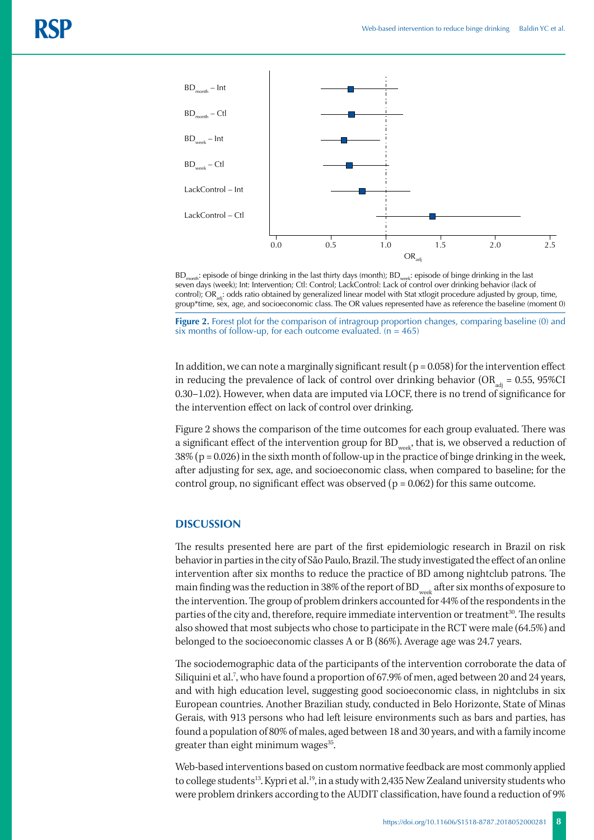

BD<sub>month</sub>: episode of binge drinking in the last thirty days (month); BD<sub>week</sub>: episode of binge drinking in the last seven days (week); Int: Intervention; Ctl: Control; LackControl: Lack of control over drinking behavior (lack of control); OR<sub>sdi</sub>: odds ratio obtained by generalized linear model with Stat xtlogit procedure adjusted by group, time, group\*time, sex, age, and socioeconomic class. The OR values represented have as reference the baseline (moment 0)

**Figure 2.** Forest plot for the comparison of intragroup proportion changes, comparing baseline (0) and six months of follow-up, for each outcome evaluated.  $(n = 465)$ 

In addition, we can note a marginally significant result ( $p = 0.058$ ) for the intervention effect in reducing the prevalence of lack of control over drinking behavior ( $OR_{\text{adv}} = 0.55$ , 95%CI 0.30–1.02). However, when data are imputed via LOCF, there is no trend of significance for the intervention effect on lack of control over drinking.

Figure 2 shows the comparison of the time outcomes for each group evaluated. There was a significant effect of the intervention group for  $\mathrm{BD}_{\mathrm{week}}$  that is, we observed a reduction of 38% (p = 0.026) in the sixth month of follow-up in the practice of binge drinking in the week, after adjusting for sex, age, and socioeconomic class, when compared to baseline; for the control group, no significant effect was observed ( $p = 0.062$ ) for this same outcome.

# **DISCUSSION**

The results presented here are part of the first epidemiologic research in Brazil on risk behavior in parties in the city of São Paulo, Brazil. The study investigated the effect of an online intervention after six months to reduce the practice of BD among nightclub patrons. The main finding was the reduction in 38% of the report of  $BD_{week}$  after six months of exposure to the intervention. The group of problem drinkers accounted for 44% of the respondents in the parties of the city and, therefore, require immediate intervention or treatment<sup>30</sup>. The results also showed that most subjects who chose to participate in the RCT were male (64.5%) and belonged to the socioeconomic classes A or B (86%). Average age was 24.7 years.

The sociodemographic data of the participants of the intervention corroborate the data of Siliquini et al.<sup>7</sup>, who have found a proportion of 67.9% of men, aged between 20 and 24 years, and with high education level, suggesting good socioeconomic class, in nightclubs in six European countries. Another Brazilian study, conducted in Belo Horizonte, State of Minas Gerais, with 913 persons who had left leisure environments such as bars and parties, has found a population of 80% of males, aged between 18 and 30 years, and with a family income greater than eight minimum wages<sup>35</sup>.

Web-based interventions based on custom normative feedback are most commonly applied to college students<sup>13</sup>. Kypri et al.<sup>19</sup>, in a study with 2,435 New Zealand university students who were problem drinkers according to the AUDIT classification, have found a reduction of 9%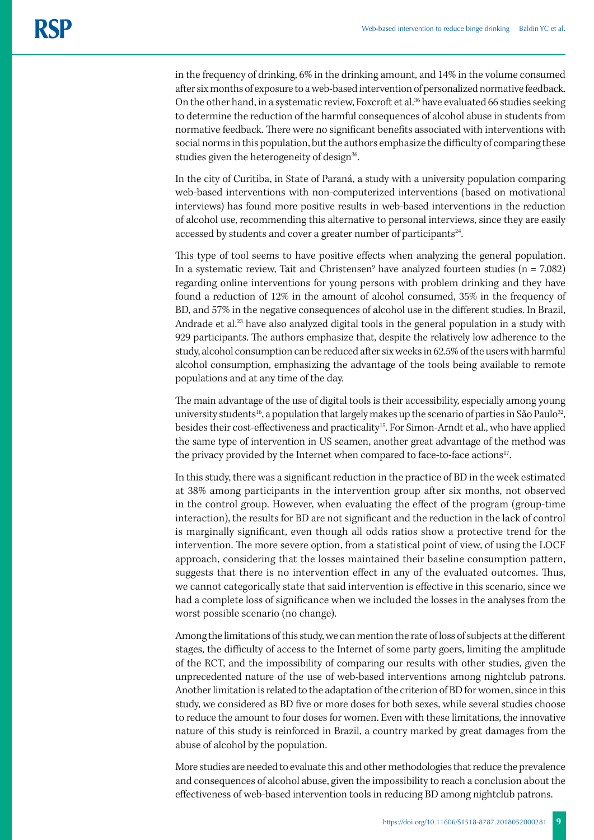in the frequency of drinking, 6% in the drinking amount, and 14% in the volume consumed after six months of exposure to a web-based intervention of personalized normative feedback. On the other hand, in a systematic review, Foxcroft et al.<sup>36</sup> have evaluated 66 studies seeking to determine the reduction of the harmful consequences of alcohol abuse in students from normative feedback. There were no significant benefits associated with interventions with social norms in this population, but the authors emphasize the difficulty of comparing these studies given the heterogeneity of design<sup>36</sup>.

In the city of Curitiba, in State of Paraná, a study with a university population comparing web-based interventions with non-computerized interventions (based on motivational interviews) has found more positive results in web-based interventions in the reduction of alcohol use, recommending this alternative to personal interviews, since they are easily accessed by students and cover a greater number of participants<sup>24</sup>.

This type of tool seems to have positive effects when analyzing the general population. In a systematic review, Tait and Christensen $^9$  have analyzed fourteen studies (n = 7,082) regarding online interventions for young persons with problem drinking and they have found a reduction of 12% in the amount of alcohol consumed, 35% in the frequency of BD, and 57% in the negative consequences of alcohol use in the different studies. In Brazil, Andrade et al.<sup>23</sup> have also analyzed digital tools in the general population in a study with 929 participants. The authors emphasize that, despite the relatively low adherence to the study, alcohol consumption can be reduced after six weeks in 62.5% of the users with harmful alcohol consumption, emphasizing the advantage of the tools being available to remote populations and at any time of the day.

The main advantage of the use of digital tools is their accessibility, especially among young university students<sup>16</sup>, a population that largely makes up the scenario of parties in São Paulo<sup>32</sup>, besides their cost-effectiveness and practicality<sup>15</sup>. For Simon-Arndt et al., who have applied the same type of intervention in US seamen, another great advantage of the method was the privacy provided by the Internet when compared to face-to-face actions<sup>17</sup>.

In this study, there was a significant reduction in the practice of BD in the week estimated at 38% among participants in the intervention group after six months, not observed in the control group. However, when evaluating the effect of the program (group-time interaction), the results for BD are not significant and the reduction in the lack of control is marginally significant, even though all odds ratios show a protective trend for the intervention. The more severe option, from a statistical point of view, of using the LOCF approach, considering that the losses maintained their baseline consumption pattern, suggests that there is no intervention effect in any of the evaluated outcomes. Thus, we cannot categorically state that said intervention is effective in this scenario, since we had a complete loss of significance when we included the losses in the analyses from the worst possible scenario (no change).

Among the limitations of this study, we can mention the rate of loss of subjects at the different stages, the difficulty of access to the Internet of some party goers, limiting the amplitude of the RCT, and the impossibility of comparing our results with other studies, given the unprecedented nature of the use of web-based interventions among nightclub patrons. Another limitation is related to the adaptation of the criterion of BD for women, since in this study, we considered as BD five or more doses for both sexes, while several studies choose to reduce the amount to four doses for women. Even with these limitations, the innovative nature of this study is reinforced in Brazil, a country marked by great damages from the abuse of alcohol by the population.

More studies are needed to evaluate this and other methodologies that reduce the prevalence and consequences of alcohol abuse, given the impossibility to reach a conclusion about the effectiveness of web-based intervention tools in reducing BD among nightclub patrons.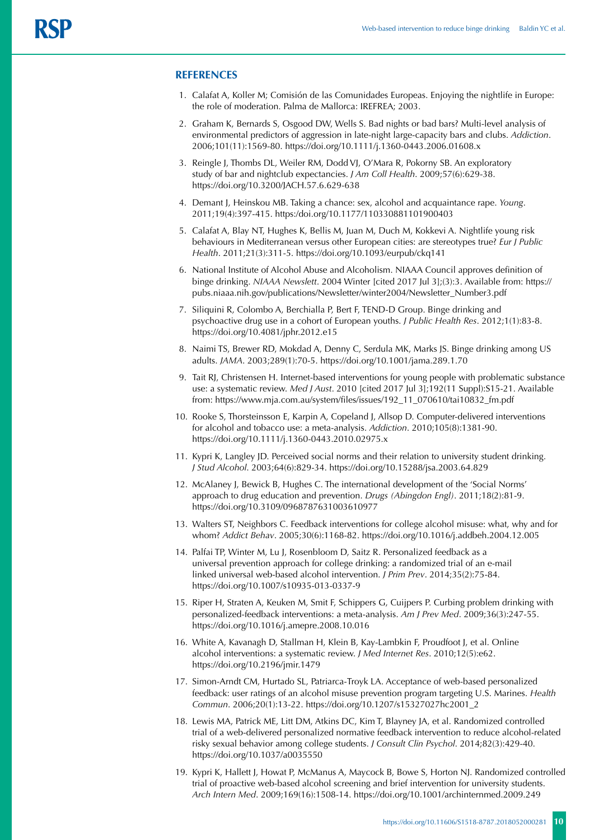#### **REFERENCES**

- 1. Calafat A, Koller M; Comisión de las Comunidades Europeas. Enjoying the nightlife in Europe: the role of moderation. Palma de Mallorca: IREFREA; 2003.
- 2. Graham K, Bernards S, Osgood DW, Wells S. Bad nights or bad bars? Multi-level analysis of environmental predictors of aggression in late-night large-capacity bars and clubs. *Addiction*. 2006;101(11):1569-80. https://doi.org/10.1111/j.1360-0443.2006.01608.x
- 3. Reingle J, Thombs DL, Weiler RM, Dodd VJ, O'Mara R, Pokorny SB. An exploratory study of bar and nightclub expectancies. *J Am Coll Health*. 2009;57(6):629-38. https://doi.org/10.3200/JACH.57.6.629-638
- 4. Demant J, Heinskou MB. Taking a chance: sex, alcohol and acquaintance rape. *Young*. 2011;19(4):397-415. https:/doi.org/10.1177/110330881101900403
- 5. Calafat A, Blay NT, Hughes K, Bellis M, Juan M, Duch M, Kokkevi A. Nightlife young risk behaviours in Mediterranean versus other European cities: are stereotypes true? *Eur J Public Health*. 2011;21(3):311-5. https://doi.org/10.1093/eurpub/ckq141
- 6. National Institute of Alcohol Abuse and Alcoholism. NIAAA Council approves definition of binge drinking. *NIAAA Newslett*. 2004 Winter [cited 2017 Jul 3];(3):3. Available from: https:// pubs.niaaa.nih.gov/publications/Newsletter/winter2004/Newsletter\_Number3.pdf
- 7. Siliquini R, Colombo A, Berchialla P, Bert F, TEND-D Group. Binge drinking and psychoactive drug use in a cohort of European youths. *J Public Health Res*. 2012;1(1):83-8. https://doi.org/10.4081/jphr.2012.e15
- 8. Naimi TS, Brewer RD, Mokdad A, Denny C, Serdula MK, Marks JS. Binge drinking among US adults. *JAMA*. 2003;289(1):70-5. https://doi.org/10.1001/jama.289.1.70
- 9. Tait RJ, Christensen H. Internet-based interventions for young people with problematic substance use: a systematic review. *Med J Aust*. 2010 [cited 2017 Jul 3];192(11 Suppl):S15-21. Available from: https://www.mja.com.au/system/files/issues/192\_11\_070610/tai10832\_fm.pdf
- 10. Rooke S, Thorsteinsson E, Karpin A, Copeland J, Allsop D. Computer-delivered interventions for alcohol and tobacco use: a meta-analysis. *Addiction*. 2010;105(8):1381-90. https://doi.org/10.1111/j.1360-0443.2010.02975.x
- 11. Kypri K, Langley JD. Perceived social norms and their relation to university student drinking. *J Stud Alcohol*. 2003;64(6):829-34. https://doi.org/10.15288/jsa.2003.64.829
- 12. McAlaney J, Bewick B, Hughes C. The international development of the 'Social Norms' approach to drug education and prevention. *Drugs (Abingdon Engl)*. 2011;18(2):81-9. https://doi.org/10.3109/0968787631003610977
- 13. Walters ST, Neighbors C. Feedback interventions for college alcohol misuse: what, why and for whom? *Addict Behav*. 2005;30(6):1168-82. https://doi.org/10.1016/j.addbeh.2004.12.005
- 14. Palfai TP, Winter M, Lu J, Rosenbloom D, Saitz R. Personalized feedback as a universal prevention approach for college drinking: a randomized trial of an e-mail linked universal web-based alcohol intervention. *J Prim Prev*. 2014;35(2):75-84. https://doi.org/10.1007/s10935-013-0337-9
- 15. Riper H, Straten A, Keuken M, Smit F, Schippers G, Cuijpers P. Curbing problem drinking with personalized-feedback interventions: a meta-analysis. *Am J Prev Med*. 2009;36(3):247-55. https://doi.org/10.1016/j.amepre.2008.10.016
- 16. White A, Kavanagh D, Stallman H, Klein B, Kay-Lambkin F, Proudfoot J, et al. Online alcohol interventions: a systematic review. *J Med Internet Res*. 2010;12(5):e62. https://doi.org/10.2196/jmir.1479
- 17. Simon-Arndt CM, Hurtado SL, Patriarca-Troyk LA. Acceptance of web-based personalized feedback: user ratings of an alcohol misuse prevention program targeting U.S. Marines. *Health Commun*. 2006;20(1):13-22. https://doi.org/10.1207/s15327027hc2001\_2
- 18. Lewis MA, Patrick ME, Litt DM, Atkins DC, Kim T, Blayney JA, et al. Randomized controlled trial of a web-delivered personalized normative feedback intervention to reduce alcohol-related risky sexual behavior among college students. *J Consult Clin Psychol*. 2014;82(3):429-40. https://doi.org/10.1037/a0035550
- 19. Kypri K, Hallett J, Howat P, McManus A, Maycock B, Bowe S, Horton NJ. Randomized controlled trial of proactive web-based alcohol screening and brief intervention for university students. *Arch Intern Med*. 2009;169(16):1508-14. https://doi.org/10.1001/archinternmed.2009.249